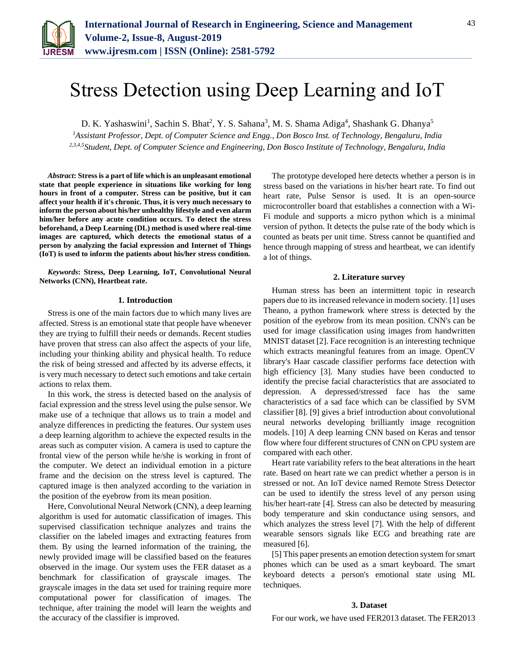

D. K. Yashaswini<sup>1</sup>, Sachin S. Bhat<sup>2</sup>, Y. S. Sahana<sup>3</sup>, M. S. Shama Adiga<sup>4</sup>, Shashank G. Dhanya<sup>5</sup>

*<sup>1</sup>Assistant Professor, Dept. of Computer Science and Engg., Don Bosco Inst. of Technology, Bengaluru, India 2,3,4,5Student, Dept. of Computer Science and Engineering, Don Bosco Institute of Technology, Bengaluru, India*

*Abstract***: Stress is a part of life which is an unpleasant emotional state that people experience in situations like working for long hours in front of a computer. Stress can be positive, but it can affect your health if it's chronic. Thus, it is very much necessary to inform the person about his/her unhealthy lifestyle and even alarm him/her before any acute condition occurs. To detect the stress beforehand, a Deep Learning (DL) method is used where real-time images are captured, which detects the emotional status of a person by analyzing the facial expression and Internet of Things (IoT) is used to inform the patients about his/her stress condition.**

*Keywords***: Stress, Deep Learning, IoT, Convolutional Neural Networks (CNN), Heartbeat rate.** 

### **1. Introduction**

Stress is one of the main factors due to which many lives are affected. Stress is an emotional state that people have whenever they are trying to fulfill their needs or demands. Recent studies have proven that stress can also affect the aspects of your life, including your thinking ability and physical health. To reduce the risk of being stressed and affected by its adverse effects, it is very much necessary to detect such emotions and take certain actions to relax them.

In this work, the stress is detected based on the analysis of facial expression and the stress level using the pulse sensor. We make use of a technique that allows us to train a model and analyze differences in predicting the features. Our system uses a deep learning algorithm to achieve the expected results in the areas such as computer vision. A camera is used to capture the frontal view of the person while he/she is working in front of the computer. We detect an individual emotion in a picture frame and the decision on the stress level is captured. The captured image is then analyzed according to the variation in the position of the eyebrow from its mean position.

Here, Convolutional Neural Network (CNN), a deep learning algorithm is used for automatic classification of images. This supervised classification technique analyzes and trains the classifier on the labeled images and extracting features from them. By using the learned information of the training, the newly provided image will be classified based on the features observed in the image. Our system uses the FER dataset as a benchmark for classification of grayscale images. The grayscale images in the data set used for training require more computational power for classification of images. The technique, after training the model will learn the weights and the accuracy of the classifier is improved.

The prototype developed here detects whether a person is in stress based on the variations in his/her heart rate. To find out heart rate, Pulse Sensor is used. It is an open-source microcontroller board that establishes a connection with a Wi-Fi module and supports a micro python which is a minimal version of python. It detects the pulse rate of the body which is counted as beats per unit time. Stress cannot be quantified and hence through mapping of stress and heartbeat, we can identify a lot of things.

### **2. Literature survey**

Human stress has been an intermittent topic in research papers due to its increased relevance in modern society. [1] uses Theano, a python framework where stress is detected by the position of the eyebrow from its mean position. CNN's can be used for image classification using images from handwritten MNIST dataset [2]. Face recognition is an interesting technique which extracts meaningful features from an image. OpenCV library's Haar cascade classifier performs face detection with high efficiency [3]. Many studies have been conducted to identify the precise facial characteristics that are associated to depression. A depressed/stressed face has the same characteristics of a sad face which can be classified by SVM classifier [8]. [9] gives a brief introduction about convolutional neural networks developing brilliantly image recognition models. [10] A deep learning CNN based on Keras and tensor flow where four different structures of CNN on CPU system are compared with each other.

Heart rate variability refers to the beat alterations in the heart rate. Based on heart rate we can predict whether a person is in stressed or not. An IoT device named Remote Stress Detector can be used to identify the stress level of any person using his/her heart-rate [4]. Stress can also be detected by measuring body temperature and skin conductance using sensors, and which analyzes the stress level [7]. With the help of different wearable sensors signals like ECG and breathing rate are measured [6].

[5] This paper presents an emotion detection system for smart phones which can be used as a smart keyboard. The smart keyboard detects a person's emotional state using ML techniques.

#### **3. Dataset**

For our work, we have used FER2013 dataset. The FER2013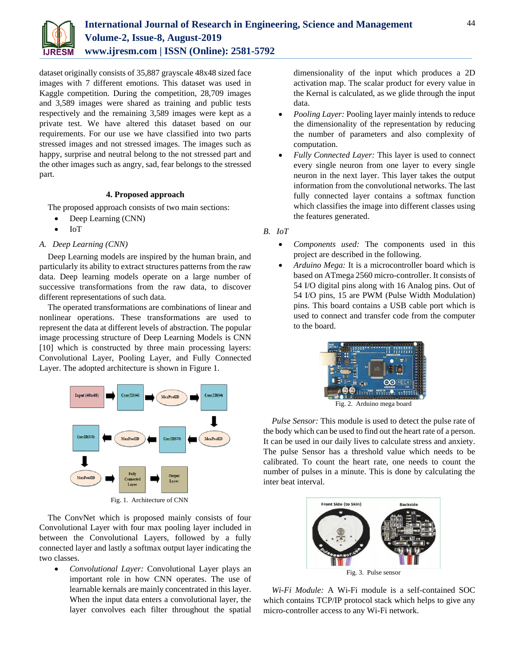

dataset originally consists of 35,887 grayscale 48x48 sized face images with 7 different emotions. This dataset was used in Kaggle competition. During the competition, 28,709 images and 3,589 images were shared as training and public tests respectively and the remaining 3,589 images were kept as a private test. We have altered this dataset based on our requirements. For our use we have classified into two parts stressed images and not stressed images. The images such as happy, surprise and neutral belong to the not stressed part and the other images such as angry, sad, fear belongs to the stressed part.

# **4. Proposed approach**

The proposed approach consists of two main sections:

- Deep Learning (CNN)
- IoT

## *A. Deep Learning (CNN)*

Deep Learning models are inspired by the human brain, and particularly its ability to extract structures patterns from the raw data. Deep learning models operate on a large number of successive transformations from the raw data, to discover different representations of such data.

The operated transformations are combinations of linear and nonlinear operations. These transformations are used to represent the data at different levels of abstraction. The popular image processing structure of Deep Learning Models is CNN [10] which is constructed by three main processing layers: Convolutional Layer, Pooling Layer, and Fully Connected Layer. The adopted architecture is shown in Figure 1.



Fig. 1. Architecture of CNN

The ConvNet which is proposed mainly consists of four Convolutional Layer with four max pooling layer included in between the Convolutional Layers, followed by a fully connected layer and lastly a softmax output layer indicating the two classes.

 *Convolutional Layer:* Convolutional Layer plays an important role in how CNN operates. The use of learnable kernals are mainly concentrated in this layer. When the input data enters a convolutional layer, the layer convolves each filter throughout the spatial

dimensionality of the input which produces a 2D activation map. The scalar product for every value in the Kernal is calculated, as we glide through the input data.

- *Pooling Layer:* Pooling layer mainly intends to reduce the dimensionality of the representation by reducing the number of parameters and also complexity of computation.
- *Fully Connected Layer:* This layer is used to connect every single neuron from one layer to every single neuron in the next layer. This layer takes the output information from the convolutional networks. The last fully connected layer contains a softmax function which classifies the image into different classes using the features generated.

*B. IoT*

- *Components used:* The components used in this project are described in the following.
- *Arduino Mega:* It is a microcontroller board which is based on ATmega 2560 micro-controller. It consists of 54 I/O digital pins along with 16 Analog pins. Out of 54 I/O pins, 15 are PWM (Pulse Width Modulation) pins. This board contains a USB cable port which is used to connect and transfer code from the computer to the board.



Fig. 2. Arduino mega board

*Pulse Sensor:* This module is used to detect the pulse rate of the body which can be used to find out the heart rate of a person. It can be used in our daily lives to calculate stress and anxiety. The pulse Sensor has a threshold value which needs to be calibrated. To count the heart rate, one needs to count the number of pulses in a minute. This is done by calculating the inter beat interval.



*Wi-Fi Module:* A Wi-Fi module is a self-contained SOC which contains TCP/IP protocol stack which helps to give any micro-controller access to any Wi-Fi network.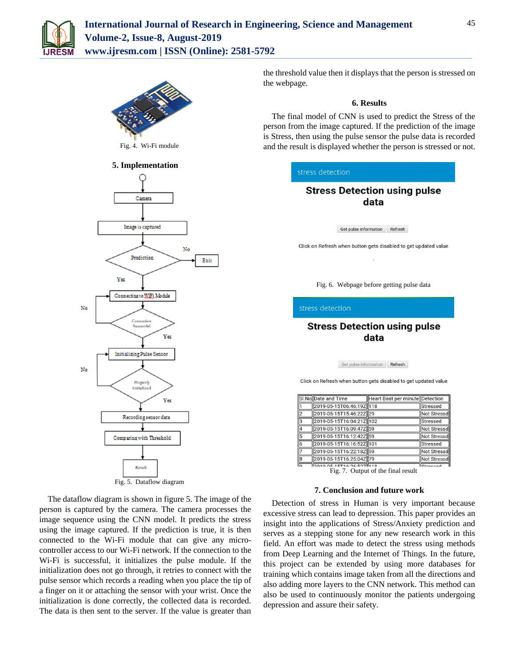



Fig. 4. Wi-Fi module

# **5. Implementation**



The dataflow diagram is shown in figure 5. The image of the person is captured by the camera. The camera processes the image sequence using the CNN model. It predicts the stress using the image captured. If the prediction is true, it is then connected to the Wi-Fi module that can give any microcontroller access to our Wi-Fi network. If the connection to the Wi-Fi is successful, it initializes the pulse module. If the initialization does not go through, it retries to connect with the pulse sensor which records a reading when you place the tip of a finger on it or attaching the sensor with your wrist. Once the initialization is done correctly, the collected data is recorded. The data is then sent to the server. If the value is greater than

the threshold value then it displays that the person is stressed on the webpage.

### **6. Results**

The final model of CNN is used to predict the Stress of the person from the image captured. If the prediction of the image is Stress, then using the pulse sensor the pulse data is recorded and the result is displayed whether the person is stressed or not.

### stress detection

# **Stress Detection using pulse** data

Get pulse information Refresh

Click on Refresh when button gets disabled to get updated value

Fig. 6. Webpage before getting pulse data

#### stress detection

# **Stress Detection using pulse** data

Get pulse information Refresh

Click on Refresh when button gets disabled to get updated value

|                         | SI.No Date and Time      | Heart Beat per minute Detection |                 |
|-------------------------|--------------------------|---------------------------------|-----------------|
|                         | 2019-05-15T06:46:19Z 118 |                                 | <b>Stressed</b> |
| $\overline{2}$          | 2019-05-15T15:46:22Z 29  |                                 | Not Stressd     |
| $\overline{\mathbf{3}}$ | 2019-05-15T16:04:21Z 102 |                                 | Stressed        |
| 4                       | 2019-05-15T16:09:47Z 59  |                                 | Not Stressd     |
| 5                       | 2019-05-15T16:12:42Z 59  |                                 | Not Stressd     |
| 6                       | 2019-05-15T16:16:52Z 101 |                                 | Stressed        |
| 7                       | 2019-05-15T16:22:18Z 59  |                                 | Not Stressd     |
| B                       | 2019-05-15T16:25:04Z 79  |                                 | Not Stressd     |
|                         | 0010 05 15516.06.507 110 |                                 | $I_{0}$         |

Fig. 7. Output of the final result

### **7. Conclusion and future work**

Detection of stress in Human is very important because excessive stress can lead to depression. This paper provides an insight into the applications of Stress/Anxiety prediction and serves as a stepping stone for any new research work in this field. An effort was made to detect the stress using methods from Deep Learning and the Internet of Things. In the future, this project can be extended by using more databases for training which contains image taken from all the directions and also adding more layers to the CNN network. This method can also be used to continuously monitor the patients undergoing depression and assure their safety.